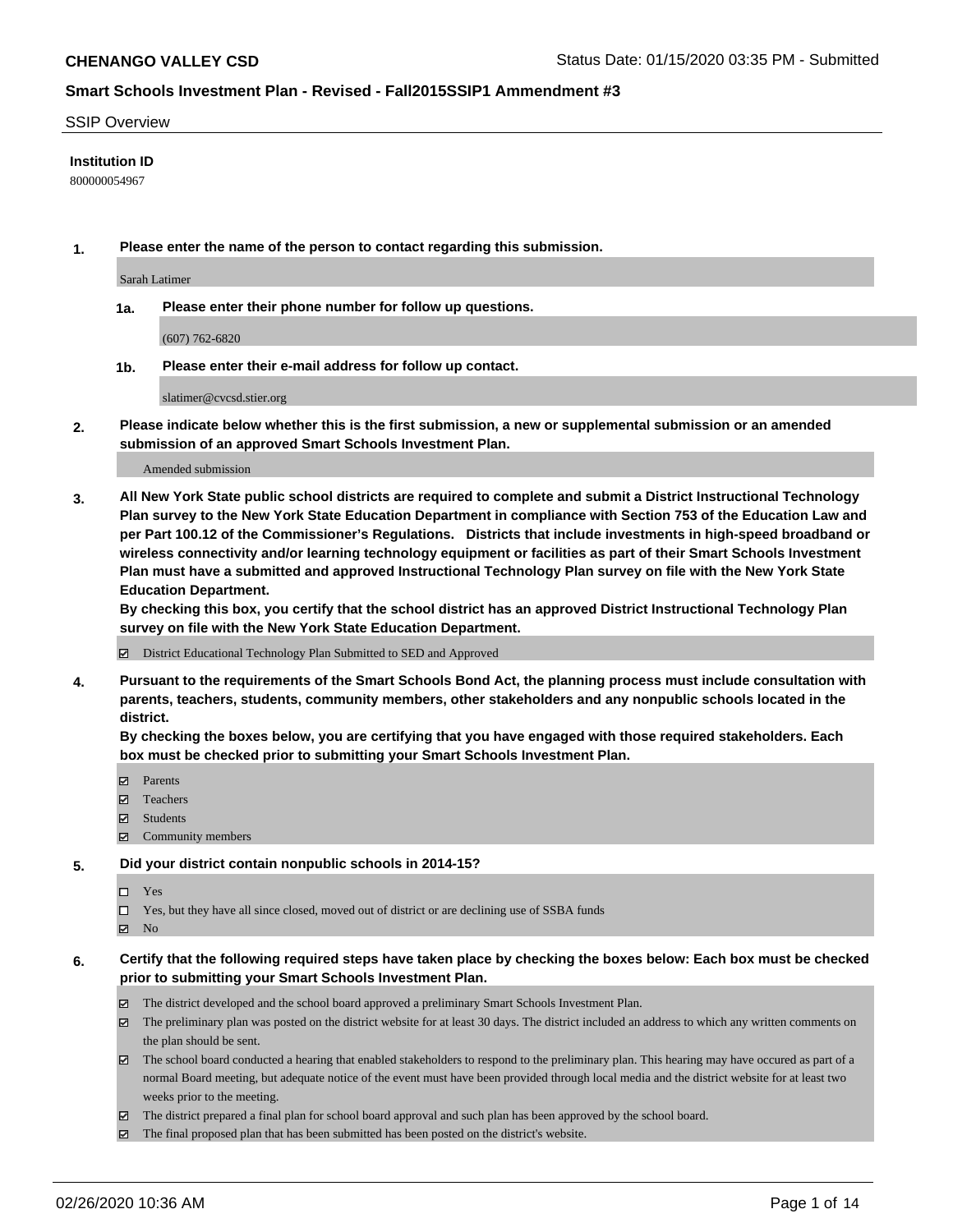#### SSIP Overview

## **Institution ID**

800000054967

**1. Please enter the name of the person to contact regarding this submission.**

Sarah Latimer

**1a. Please enter their phone number for follow up questions.**

(607) 762-6820

**1b. Please enter their e-mail address for follow up contact.**

slatimer@cvcsd.stier.org

**2. Please indicate below whether this is the first submission, a new or supplemental submission or an amended submission of an approved Smart Schools Investment Plan.**

#### Amended submission

**3. All New York State public school districts are required to complete and submit a District Instructional Technology Plan survey to the New York State Education Department in compliance with Section 753 of the Education Law and per Part 100.12 of the Commissioner's Regulations. Districts that include investments in high-speed broadband or wireless connectivity and/or learning technology equipment or facilities as part of their Smart Schools Investment Plan must have a submitted and approved Instructional Technology Plan survey on file with the New York State Education Department.** 

**By checking this box, you certify that the school district has an approved District Instructional Technology Plan survey on file with the New York State Education Department.**

District Educational Technology Plan Submitted to SED and Approved

**4. Pursuant to the requirements of the Smart Schools Bond Act, the planning process must include consultation with parents, teachers, students, community members, other stakeholders and any nonpublic schools located in the district.** 

**By checking the boxes below, you are certifying that you have engaged with those required stakeholders. Each box must be checked prior to submitting your Smart Schools Investment Plan.**

- **マ** Parents
- Teachers
- Students
- Community members

#### **5. Did your district contain nonpublic schools in 2014-15?**

 $\neg$  Yes

Yes, but they have all since closed, moved out of district or are declining use of SSBA funds

**Z** No

## **6. Certify that the following required steps have taken place by checking the boxes below: Each box must be checked prior to submitting your Smart Schools Investment Plan.**

- The district developed and the school board approved a preliminary Smart Schools Investment Plan.
- $\boxtimes$  The preliminary plan was posted on the district website for at least 30 days. The district included an address to which any written comments on the plan should be sent.
- $\boxtimes$  The school board conducted a hearing that enabled stakeholders to respond to the preliminary plan. This hearing may have occured as part of a normal Board meeting, but adequate notice of the event must have been provided through local media and the district website for at least two weeks prior to the meeting.
- The district prepared a final plan for school board approval and such plan has been approved by the school board.
- $\boxtimes$  The final proposed plan that has been submitted has been posted on the district's website.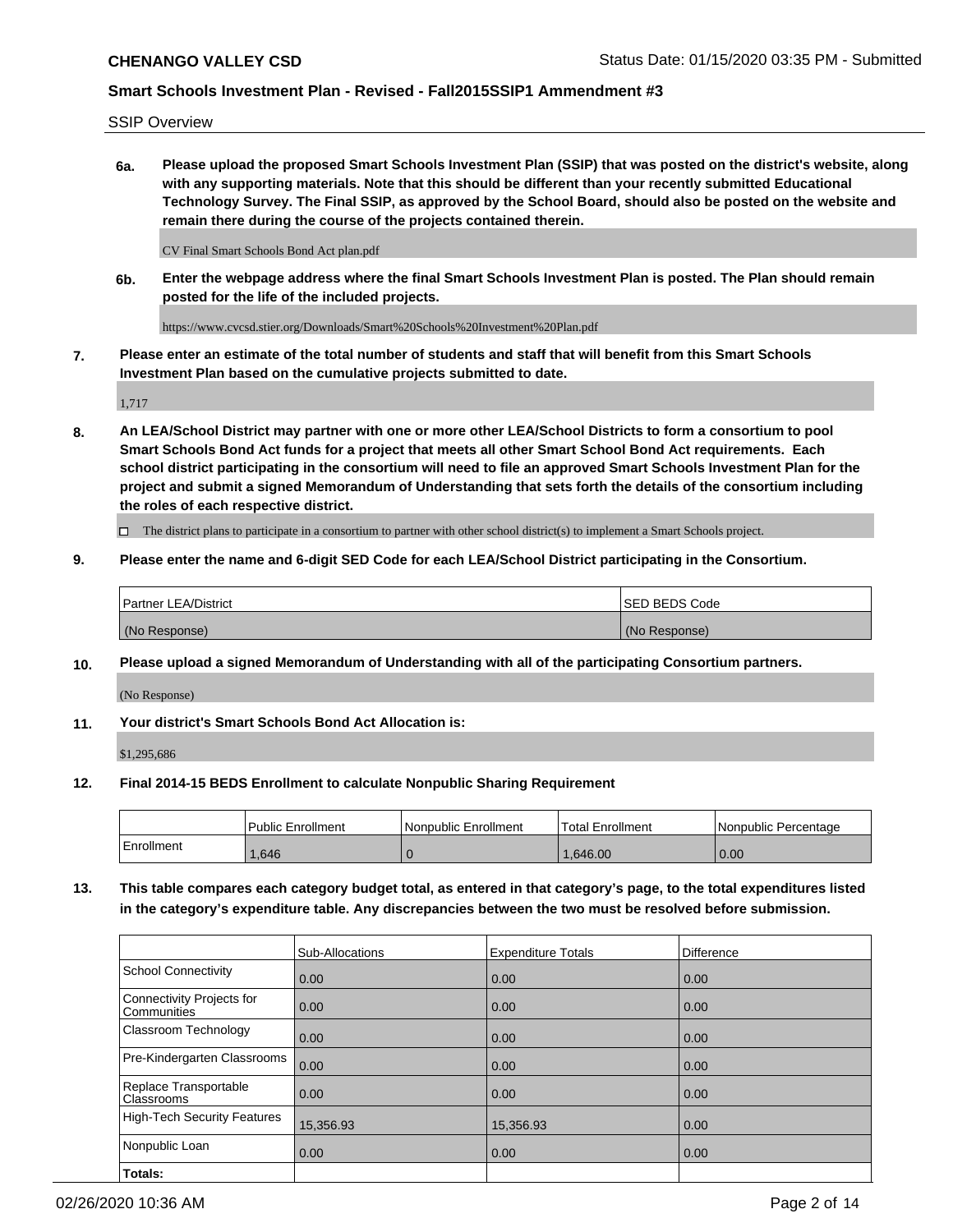SSIP Overview

**6a. Please upload the proposed Smart Schools Investment Plan (SSIP) that was posted on the district's website, along with any supporting materials. Note that this should be different than your recently submitted Educational Technology Survey. The Final SSIP, as approved by the School Board, should also be posted on the website and remain there during the course of the projects contained therein.**

CV Final Smart Schools Bond Act plan.pdf

**6b. Enter the webpage address where the final Smart Schools Investment Plan is posted. The Plan should remain posted for the life of the included projects.**

https://www.cvcsd.stier.org/Downloads/Smart%20Schools%20Investment%20Plan.pdf

**7. Please enter an estimate of the total number of students and staff that will benefit from this Smart Schools Investment Plan based on the cumulative projects submitted to date.**

1,717

**8. An LEA/School District may partner with one or more other LEA/School Districts to form a consortium to pool Smart Schools Bond Act funds for a project that meets all other Smart School Bond Act requirements. Each school district participating in the consortium will need to file an approved Smart Schools Investment Plan for the project and submit a signed Memorandum of Understanding that sets forth the details of the consortium including the roles of each respective district.**

 $\Box$  The district plans to participate in a consortium to partner with other school district(s) to implement a Smart Schools project.

## **9. Please enter the name and 6-digit SED Code for each LEA/School District participating in the Consortium.**

| Partner LEA/District | <b>ISED BEDS Code</b> |
|----------------------|-----------------------|
| (No Response)        | (No Response)         |

## **10. Please upload a signed Memorandum of Understanding with all of the participating Consortium partners.**

(No Response)

#### **11. Your district's Smart Schools Bond Act Allocation is:**

\$1,295,686

#### **12. Final 2014-15 BEDS Enrollment to calculate Nonpublic Sharing Requirement**

|            | Public Enrollment | Nonpublic Enrollment | Total Enrollment | l Nonpublic Percentage |
|------------|-------------------|----------------------|------------------|------------------------|
| Enrollment | .646              |                      | .646.00          | 0.00                   |

**13. This table compares each category budget total, as entered in that category's page, to the total expenditures listed in the category's expenditure table. Any discrepancies between the two must be resolved before submission.**

|                                          | Sub-Allocations | <b>Expenditure Totals</b> | Difference |
|------------------------------------------|-----------------|---------------------------|------------|
| <b>School Connectivity</b>               | 0.00            | 0.00                      | 0.00       |
| Connectivity Projects for<br>Communities | 0.00            | 0.00                      | 0.00       |
| Classroom Technology                     | 0.00            | 0.00                      | 0.00       |
| Pre-Kindergarten Classrooms              | 0.00            | 0.00                      | 0.00       |
| Replace Transportable<br>Classrooms      | 0.00            | 0.00                      | 0.00       |
| <b>High-Tech Security Features</b>       | 15,356.93       | 15,356.93                 | 0.00       |
| Nonpublic Loan                           | 0.00            | 0.00                      | 0.00       |
| Totals:                                  |                 |                           |            |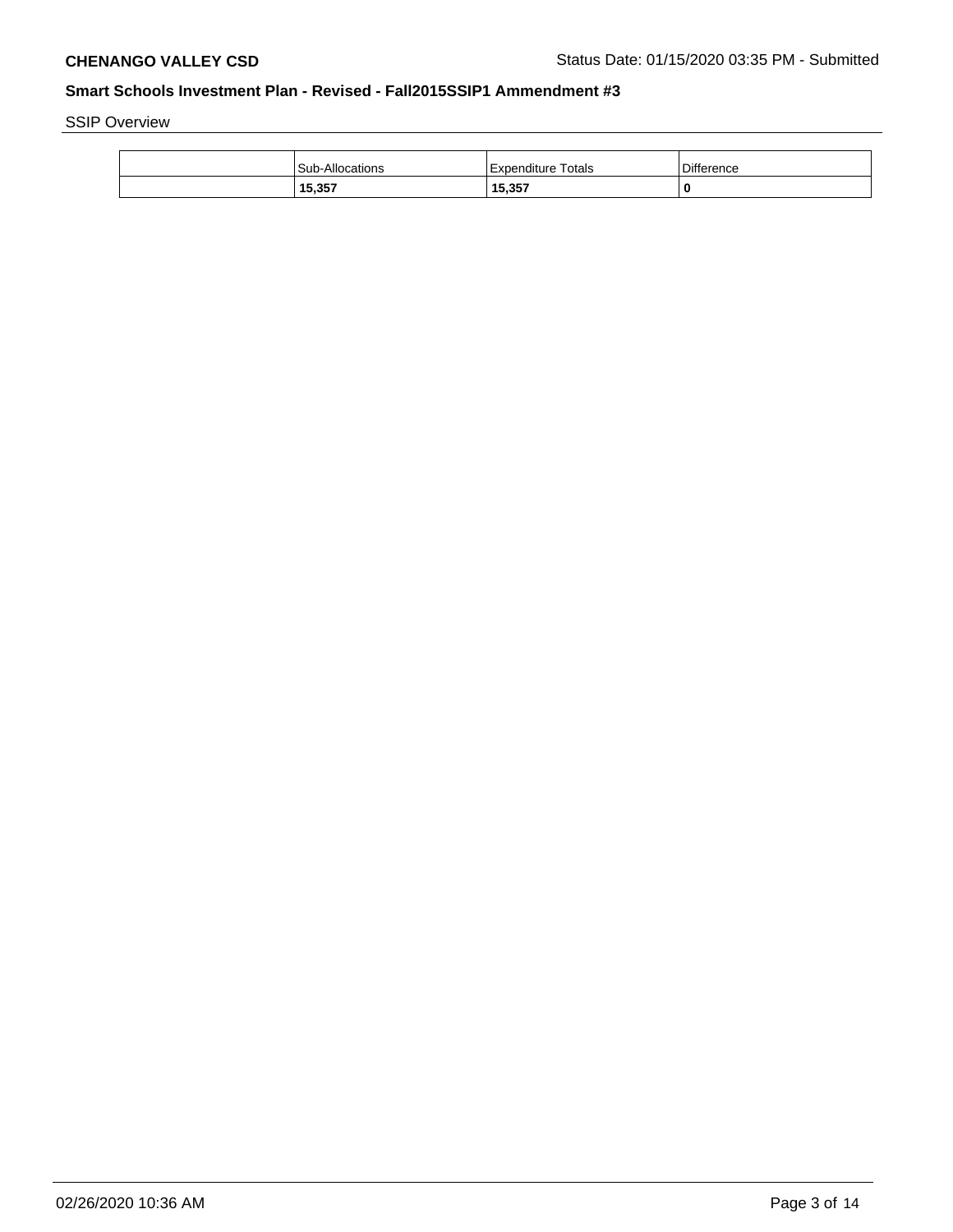SSIP Overview

| <b>Sub-Allocations</b> | Expenditure Totals | <b>Difference</b> |
|------------------------|--------------------|-------------------|
| 15,357                 | 15,357             | 0                 |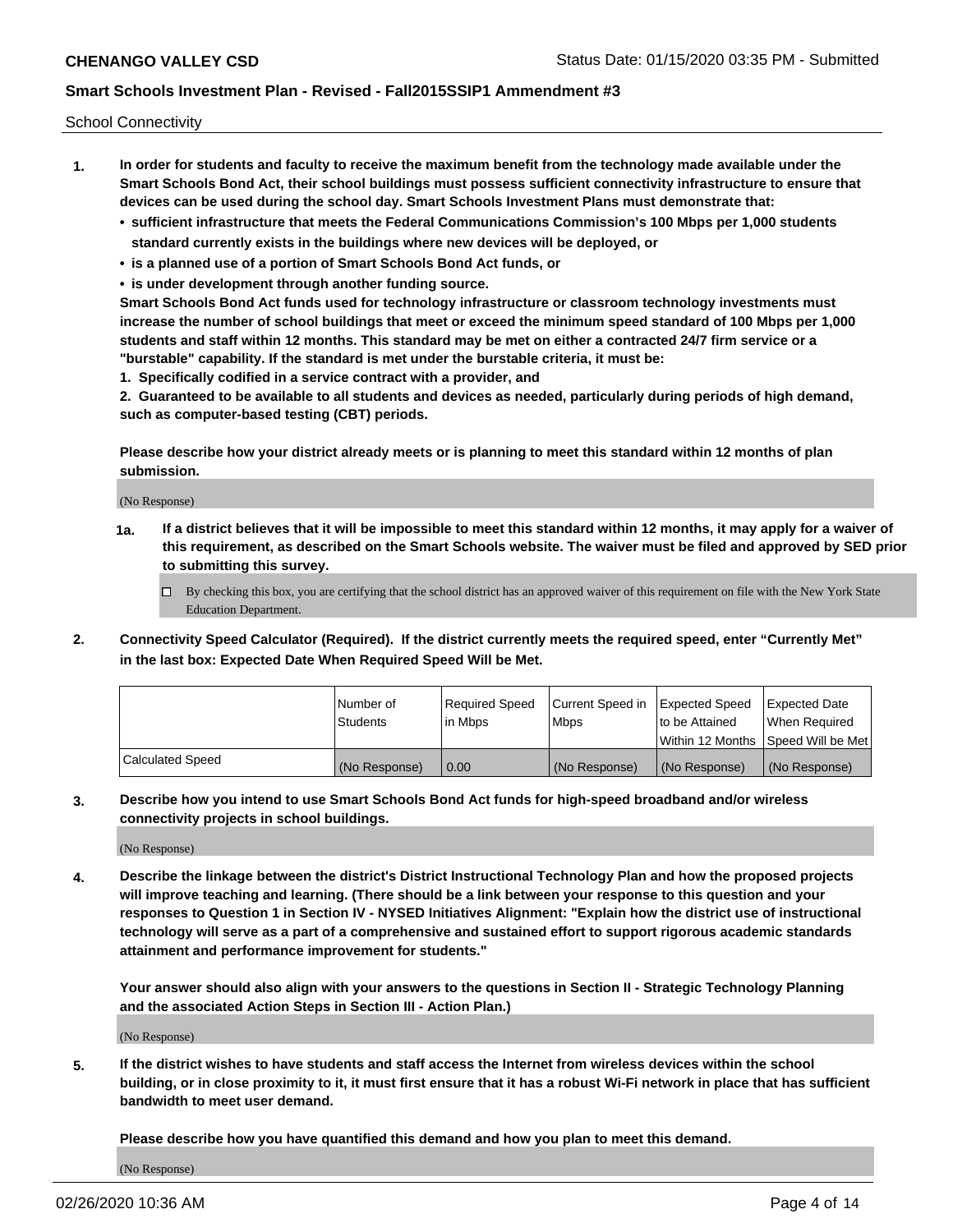School Connectivity

- **1. In order for students and faculty to receive the maximum benefit from the technology made available under the Smart Schools Bond Act, their school buildings must possess sufficient connectivity infrastructure to ensure that devices can be used during the school day. Smart Schools Investment Plans must demonstrate that:**
	- **• sufficient infrastructure that meets the Federal Communications Commission's 100 Mbps per 1,000 students standard currently exists in the buildings where new devices will be deployed, or**
	- **• is a planned use of a portion of Smart Schools Bond Act funds, or**
	- **• is under development through another funding source.**

**Smart Schools Bond Act funds used for technology infrastructure or classroom technology investments must increase the number of school buildings that meet or exceed the minimum speed standard of 100 Mbps per 1,000 students and staff within 12 months. This standard may be met on either a contracted 24/7 firm service or a "burstable" capability. If the standard is met under the burstable criteria, it must be:**

**1. Specifically codified in a service contract with a provider, and**

**2. Guaranteed to be available to all students and devices as needed, particularly during periods of high demand, such as computer-based testing (CBT) periods.**

**Please describe how your district already meets or is planning to meet this standard within 12 months of plan submission.**

(No Response)

**1a. If a district believes that it will be impossible to meet this standard within 12 months, it may apply for a waiver of this requirement, as described on the Smart Schools website. The waiver must be filed and approved by SED prior to submitting this survey.**

 $\Box$  By checking this box, you are certifying that the school district has an approved waiver of this requirement on file with the New York State Education Department.

**2. Connectivity Speed Calculator (Required). If the district currently meets the required speed, enter "Currently Met" in the last box: Expected Date When Required Speed Will be Met.**

|                  | l Number of     | Reauired Speed | Current Speed in | Expected Speed | Expected Date                       |
|------------------|-----------------|----------------|------------------|----------------|-------------------------------------|
|                  | <b>Students</b> | l in Mbps      | l Mbps           | to be Attained | When Required                       |
|                  |                 |                |                  |                | Within 12 Months ISpeed Will be Met |
| Calculated Speed | (No Response)   | 0.00           | (No Response)    | (No Response)  | (No Response)                       |

**3. Describe how you intend to use Smart Schools Bond Act funds for high-speed broadband and/or wireless connectivity projects in school buildings.**

(No Response)

**4. Describe the linkage between the district's District Instructional Technology Plan and how the proposed projects will improve teaching and learning. (There should be a link between your response to this question and your responses to Question 1 in Section IV - NYSED Initiatives Alignment: "Explain how the district use of instructional technology will serve as a part of a comprehensive and sustained effort to support rigorous academic standards attainment and performance improvement for students."** 

**Your answer should also align with your answers to the questions in Section II - Strategic Technology Planning and the associated Action Steps in Section III - Action Plan.)**

(No Response)

**5. If the district wishes to have students and staff access the Internet from wireless devices within the school building, or in close proximity to it, it must first ensure that it has a robust Wi-Fi network in place that has sufficient bandwidth to meet user demand.**

**Please describe how you have quantified this demand and how you plan to meet this demand.**

(No Response)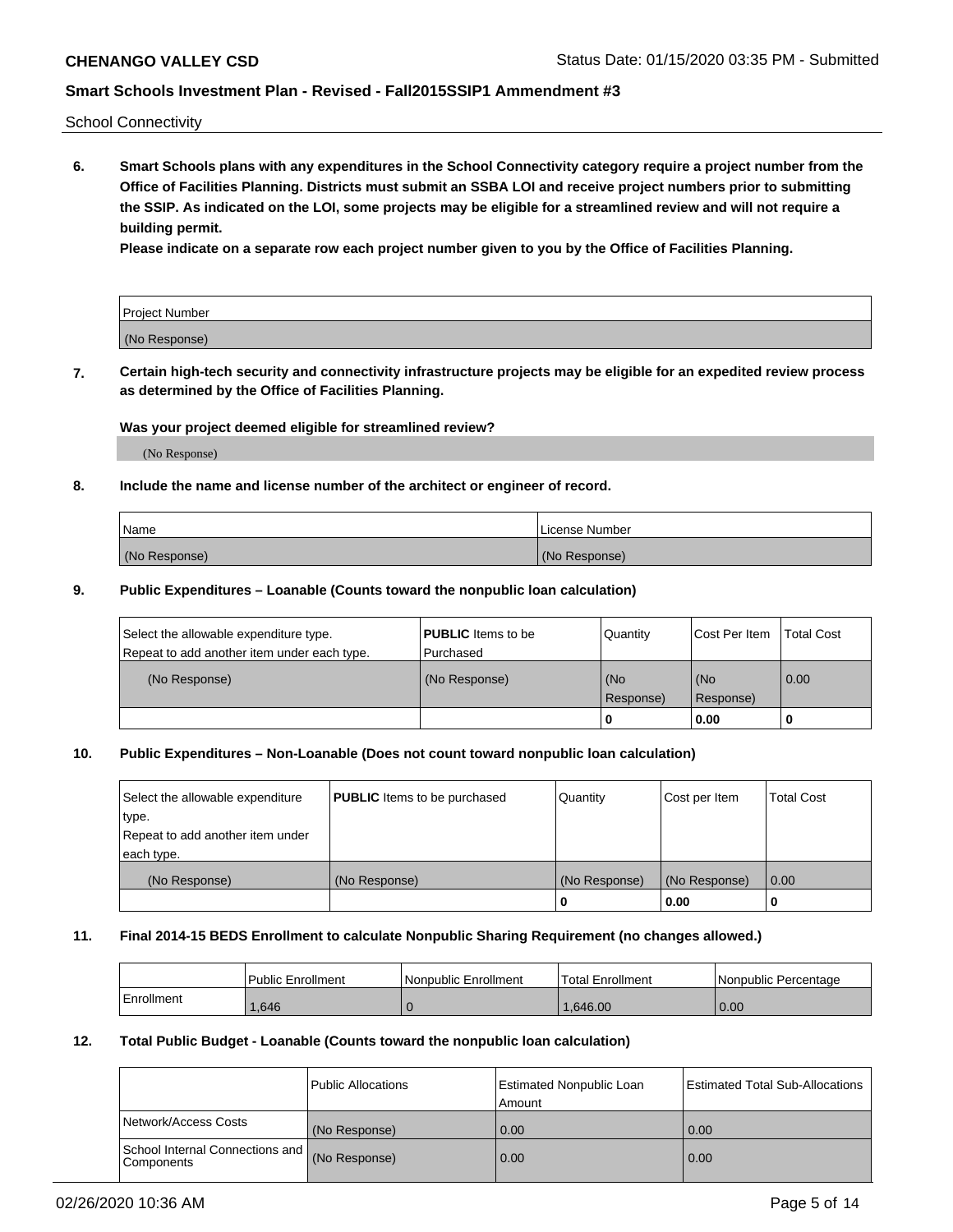School Connectivity

**6. Smart Schools plans with any expenditures in the School Connectivity category require a project number from the Office of Facilities Planning. Districts must submit an SSBA LOI and receive project numbers prior to submitting the SSIP. As indicated on the LOI, some projects may be eligible for a streamlined review and will not require a building permit.**

**Please indicate on a separate row each project number given to you by the Office of Facilities Planning.**

| Project Number |  |
|----------------|--|
| (No Response)  |  |

**7. Certain high-tech security and connectivity infrastructure projects may be eligible for an expedited review process as determined by the Office of Facilities Planning.**

## **Was your project deemed eligible for streamlined review?**

(No Response)

## **8. Include the name and license number of the architect or engineer of record.**

| Name          | License Number |
|---------------|----------------|
| (No Response) | (No Response)  |

## **9. Public Expenditures – Loanable (Counts toward the nonpublic loan calculation)**

| Select the allowable expenditure type.<br>Repeat to add another item under each type. | <b>PUBLIC</b> Items to be<br>l Purchased | Quantity           | Cost Per Item    | <b>Total Cost</b> |
|---------------------------------------------------------------------------------------|------------------------------------------|--------------------|------------------|-------------------|
| (No Response)                                                                         | (No Response)                            | l (No<br>Response) | (No<br>Response) | $\overline{0.00}$ |
|                                                                                       |                                          | O                  | 0.00             |                   |

## **10. Public Expenditures – Non-Loanable (Does not count toward nonpublic loan calculation)**

| Select the allowable expenditure<br>type.<br>Repeat to add another item under<br>each type. | <b>PUBLIC</b> Items to be purchased | Quantity      | Cost per Item | <b>Total Cost</b> |
|---------------------------------------------------------------------------------------------|-------------------------------------|---------------|---------------|-------------------|
| (No Response)                                                                               | (No Response)                       | (No Response) | (No Response) | 0.00              |
|                                                                                             |                                     |               | 0.00          |                   |

#### **11. Final 2014-15 BEDS Enrollment to calculate Nonpublic Sharing Requirement (no changes allowed.)**

|            | Public Enrollment | l Nonpublic Enrollment | <b>Total Enrollment</b> | Nonpublic Percentage |
|------------|-------------------|------------------------|-------------------------|----------------------|
| Enrollment | .646              |                        | .646.00                 | 0.00                 |

## **12. Total Public Budget - Loanable (Counts toward the nonpublic loan calculation)**

|                                                      | Public Allocations | <b>Estimated Nonpublic Loan</b><br>Amount | Estimated Total Sub-Allocations |
|------------------------------------------------------|--------------------|-------------------------------------------|---------------------------------|
| Network/Access Costs                                 | (No Response)      | 0.00                                      | 0.00                            |
| School Internal Connections and<br><b>Components</b> | (No Response)      | 0.00                                      | 0.00                            |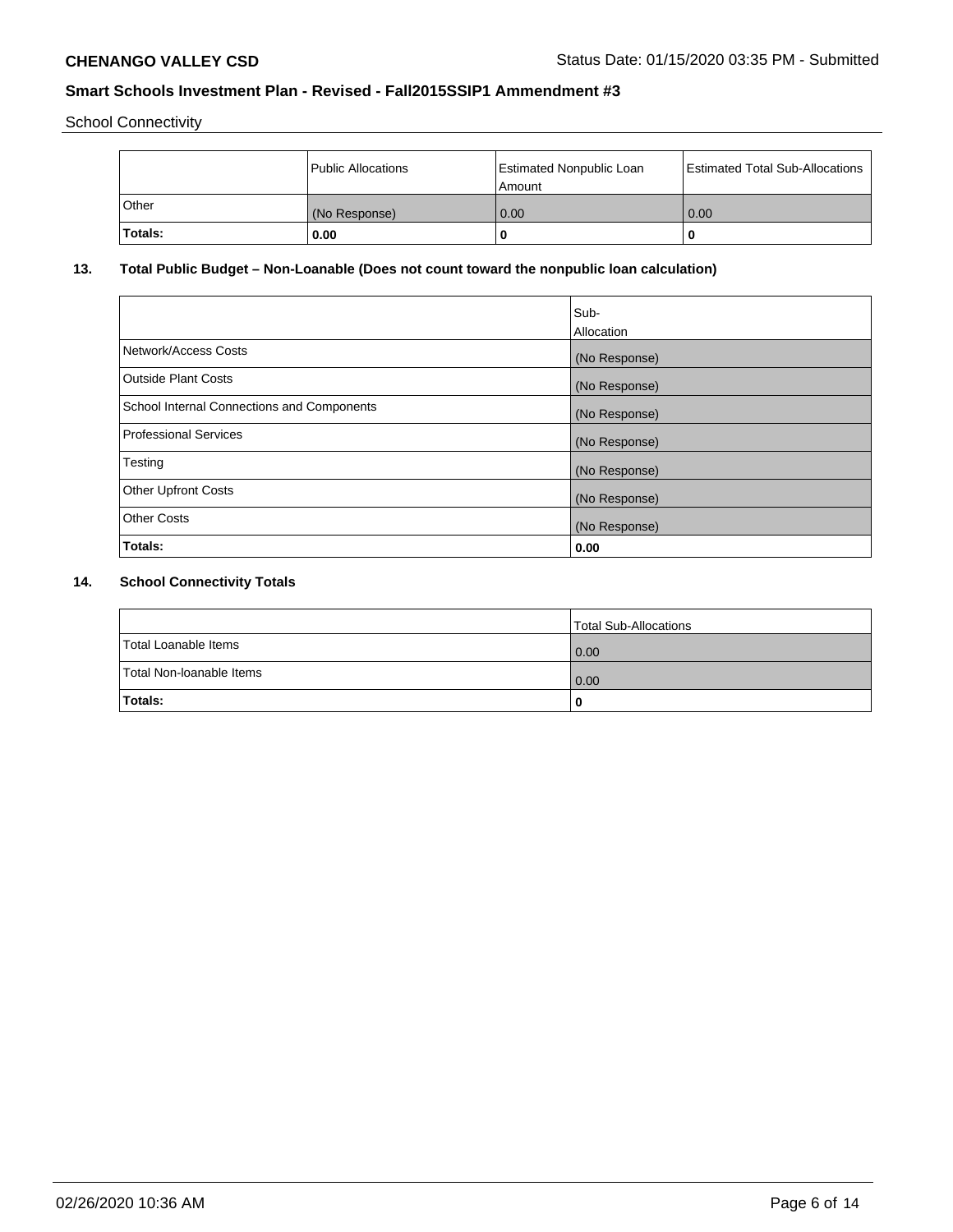School Connectivity

|                | Public Allocations | <b>Estimated Nonpublic Loan</b><br>l Amount | <b>Estimated Total Sub-Allocations</b> |
|----------------|--------------------|---------------------------------------------|----------------------------------------|
| l Other        | (No Response)      | 0.00                                        | 0.00                                   |
| <b>Totals:</b> | 0.00               | 0                                           |                                        |

# **13. Total Public Budget – Non-Loanable (Does not count toward the nonpublic loan calculation)**

|                                                   | Sub-<br>Allocation |
|---------------------------------------------------|--------------------|
|                                                   |                    |
| Network/Access Costs                              | (No Response)      |
| <b>Outside Plant Costs</b>                        | (No Response)      |
| <b>School Internal Connections and Components</b> | (No Response)      |
| Professional Services                             | (No Response)      |
| Testing                                           | (No Response)      |
| <b>Other Upfront Costs</b>                        | (No Response)      |
| <b>Other Costs</b>                                | (No Response)      |
| <b>Totals:</b>                                    | 0.00               |

# **14. School Connectivity Totals**

|                          | Total Sub-Allocations |
|--------------------------|-----------------------|
| Total Loanable Items     | 0.00                  |
| Total Non-Ioanable Items | 0.00                  |
| Totals:                  | 0                     |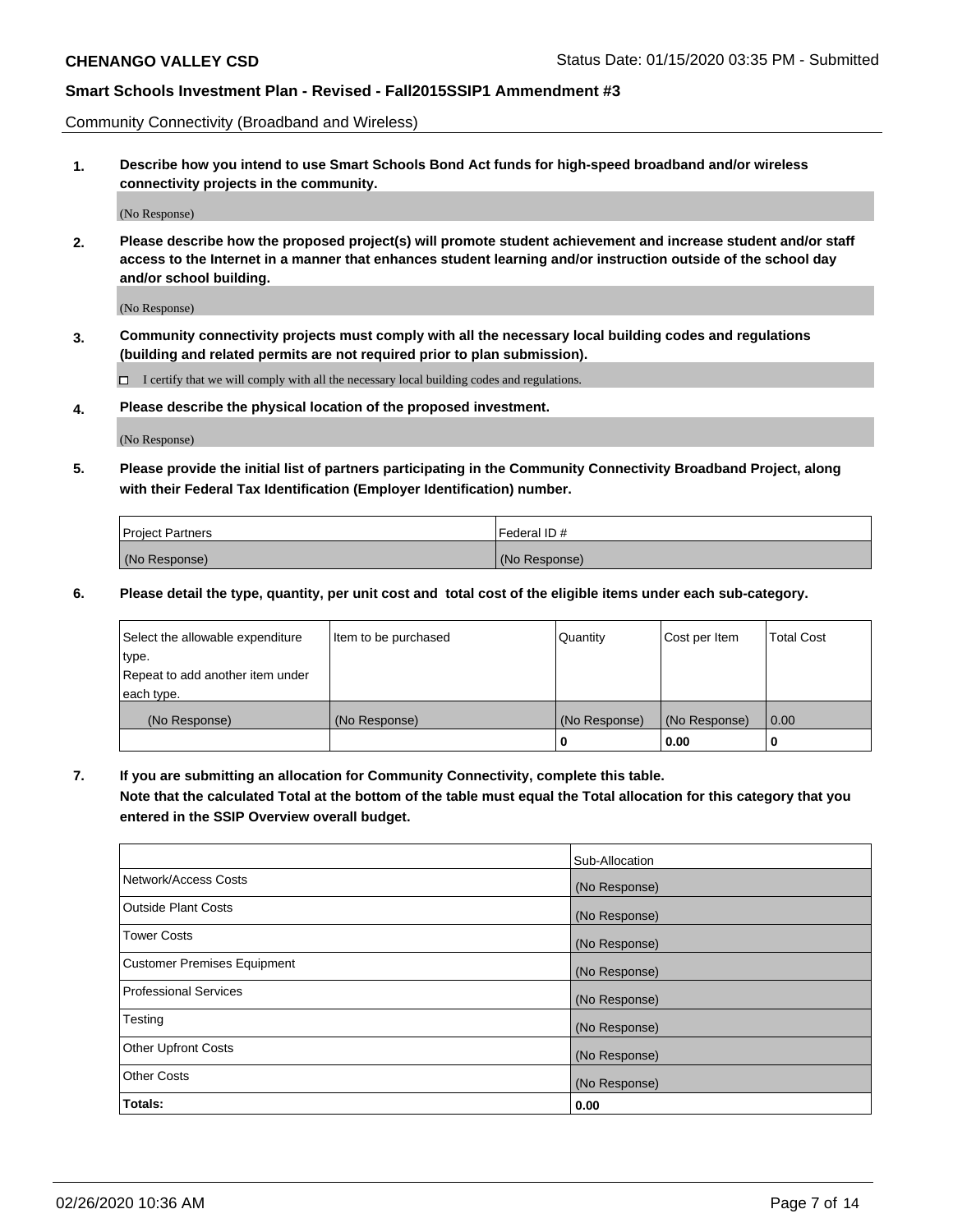Community Connectivity (Broadband and Wireless)

**1. Describe how you intend to use Smart Schools Bond Act funds for high-speed broadband and/or wireless connectivity projects in the community.**

(No Response)

**2. Please describe how the proposed project(s) will promote student achievement and increase student and/or staff access to the Internet in a manner that enhances student learning and/or instruction outside of the school day and/or school building.**

(No Response)

**3. Community connectivity projects must comply with all the necessary local building codes and regulations (building and related permits are not required prior to plan submission).**

 $\Box$  I certify that we will comply with all the necessary local building codes and regulations.

**4. Please describe the physical location of the proposed investment.**

(No Response)

**5. Please provide the initial list of partners participating in the Community Connectivity Broadband Project, along with their Federal Tax Identification (Employer Identification) number.**

| <b>Project Partners</b> | Federal ID#   |
|-------------------------|---------------|
| (No Response)           | (No Response) |

**6. Please detail the type, quantity, per unit cost and total cost of the eligible items under each sub-category.**

| Select the allowable expenditure | Item to be purchased | Quantity      | Cost per Item | <b>Total Cost</b> |
|----------------------------------|----------------------|---------------|---------------|-------------------|
| type.                            |                      |               |               |                   |
| Repeat to add another item under |                      |               |               |                   |
| each type.                       |                      |               |               |                   |
| (No Response)                    | (No Response)        | (No Response) | (No Response) | 0.00              |
|                                  |                      | o             | 0.00          |                   |

**7. If you are submitting an allocation for Community Connectivity, complete this table.**

**Note that the calculated Total at the bottom of the table must equal the Total allocation for this category that you entered in the SSIP Overview overall budget.**

|                                    | Sub-Allocation |
|------------------------------------|----------------|
| Network/Access Costs               | (No Response)  |
| Outside Plant Costs                | (No Response)  |
| <b>Tower Costs</b>                 | (No Response)  |
| <b>Customer Premises Equipment</b> | (No Response)  |
| <b>Professional Services</b>       | (No Response)  |
| Testing                            | (No Response)  |
| <b>Other Upfront Costs</b>         | (No Response)  |
| <b>Other Costs</b>                 | (No Response)  |
| Totals:                            | 0.00           |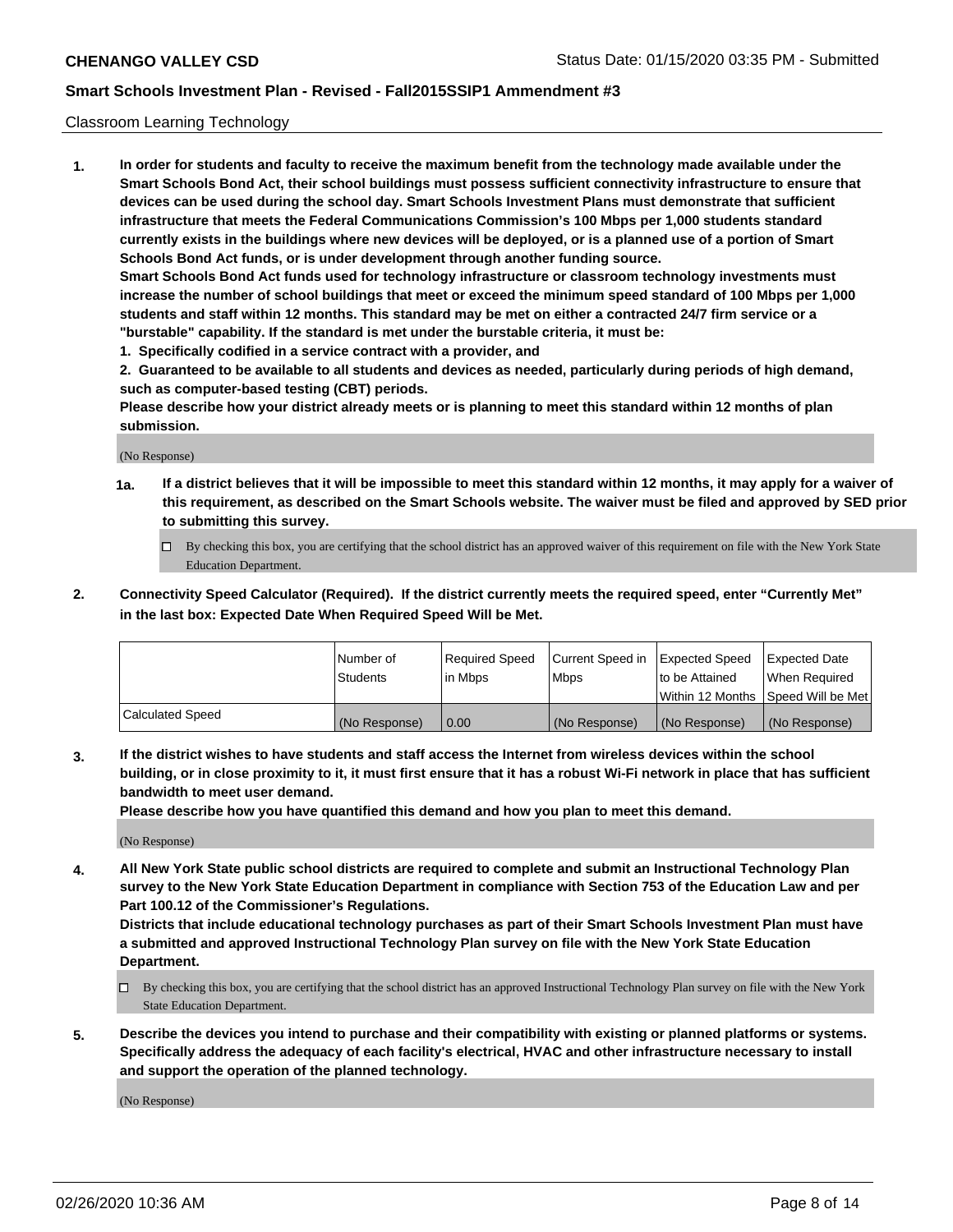## Classroom Learning Technology

**1. In order for students and faculty to receive the maximum benefit from the technology made available under the Smart Schools Bond Act, their school buildings must possess sufficient connectivity infrastructure to ensure that devices can be used during the school day. Smart Schools Investment Plans must demonstrate that sufficient infrastructure that meets the Federal Communications Commission's 100 Mbps per 1,000 students standard currently exists in the buildings where new devices will be deployed, or is a planned use of a portion of Smart Schools Bond Act funds, or is under development through another funding source. Smart Schools Bond Act funds used for technology infrastructure or classroom technology investments must increase the number of school buildings that meet or exceed the minimum speed standard of 100 Mbps per 1,000 students and staff within 12 months. This standard may be met on either a contracted 24/7 firm service or a**

**"burstable" capability. If the standard is met under the burstable criteria, it must be:**

**1. Specifically codified in a service contract with a provider, and**

**2. Guaranteed to be available to all students and devices as needed, particularly during periods of high demand, such as computer-based testing (CBT) periods.**

**Please describe how your district already meets or is planning to meet this standard within 12 months of plan submission.**

(No Response)

- **1a. If a district believes that it will be impossible to meet this standard within 12 months, it may apply for a waiver of this requirement, as described on the Smart Schools website. The waiver must be filed and approved by SED prior to submitting this survey.**
	- By checking this box, you are certifying that the school district has an approved waiver of this requirement on file with the New York State Education Department.
- **2. Connectivity Speed Calculator (Required). If the district currently meets the required speed, enter "Currently Met" in the last box: Expected Date When Required Speed Will be Met.**

|                  | l Number of     | Required Speed | Current Speed in | <b>Expected Speed</b> | <b>Expected Date</b>                |
|------------------|-----------------|----------------|------------------|-----------------------|-------------------------------------|
|                  | <b>Students</b> | l in Mbps      | l Mbps           | to be Attained        | When Required                       |
|                  |                 |                |                  |                       | Within 12 Months  Speed Will be Met |
| Calculated Speed | (No Response)   | 0.00           | (No Response)    | l (No Response)       | (No Response)                       |

**3. If the district wishes to have students and staff access the Internet from wireless devices within the school building, or in close proximity to it, it must first ensure that it has a robust Wi-Fi network in place that has sufficient bandwidth to meet user demand.**

**Please describe how you have quantified this demand and how you plan to meet this demand.**

(No Response)

**4. All New York State public school districts are required to complete and submit an Instructional Technology Plan survey to the New York State Education Department in compliance with Section 753 of the Education Law and per Part 100.12 of the Commissioner's Regulations.**

**Districts that include educational technology purchases as part of their Smart Schools Investment Plan must have a submitted and approved Instructional Technology Plan survey on file with the New York State Education Department.**

- By checking this box, you are certifying that the school district has an approved Instructional Technology Plan survey on file with the New York State Education Department.
- **5. Describe the devices you intend to purchase and their compatibility with existing or planned platforms or systems. Specifically address the adequacy of each facility's electrical, HVAC and other infrastructure necessary to install and support the operation of the planned technology.**

(No Response)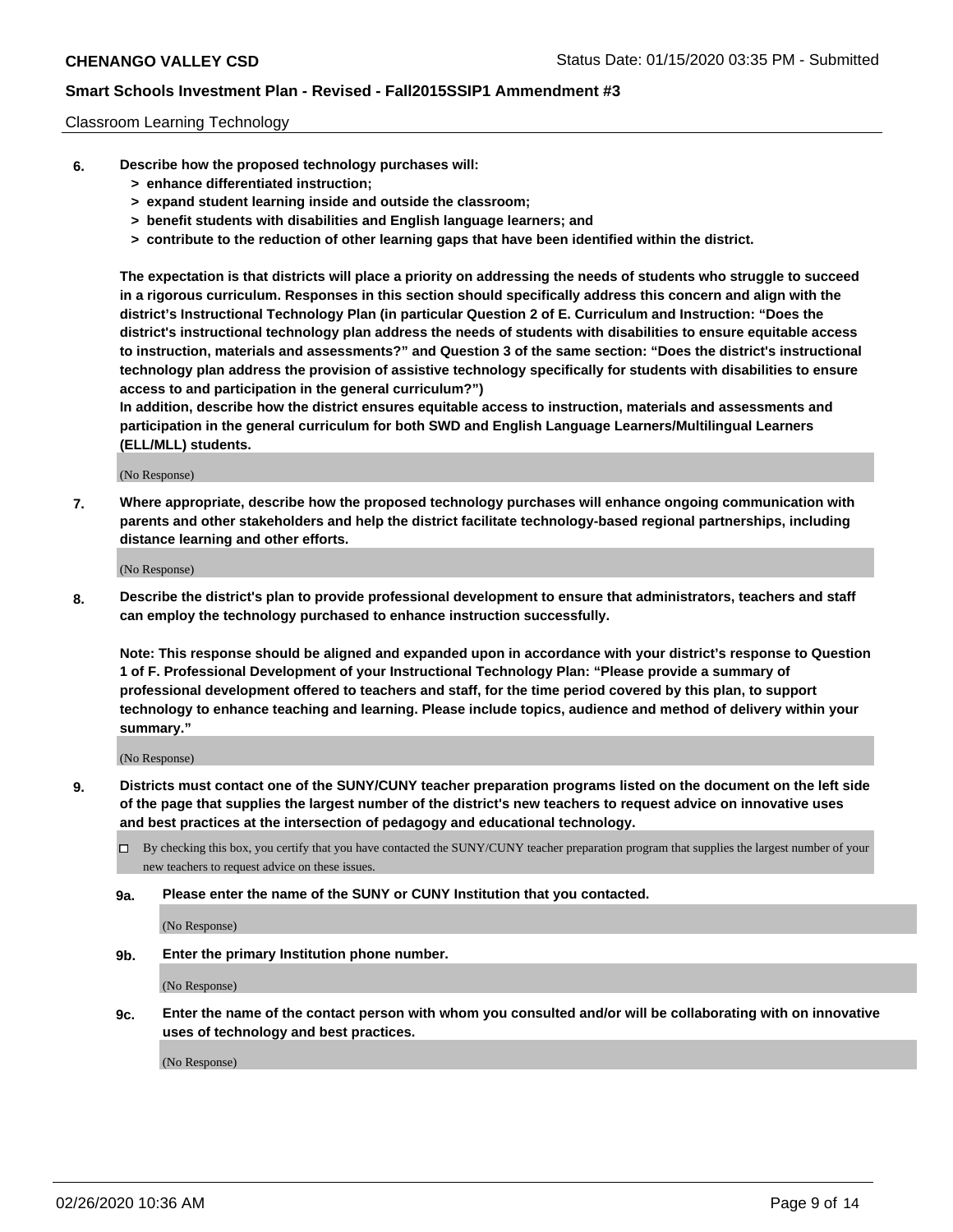## Classroom Learning Technology

- **6. Describe how the proposed technology purchases will:**
	- **> enhance differentiated instruction;**
	- **> expand student learning inside and outside the classroom;**
	- **> benefit students with disabilities and English language learners; and**
	- **> contribute to the reduction of other learning gaps that have been identified within the district.**

**The expectation is that districts will place a priority on addressing the needs of students who struggle to succeed in a rigorous curriculum. Responses in this section should specifically address this concern and align with the district's Instructional Technology Plan (in particular Question 2 of E. Curriculum and Instruction: "Does the district's instructional technology plan address the needs of students with disabilities to ensure equitable access to instruction, materials and assessments?" and Question 3 of the same section: "Does the district's instructional technology plan address the provision of assistive technology specifically for students with disabilities to ensure access to and participation in the general curriculum?")**

**In addition, describe how the district ensures equitable access to instruction, materials and assessments and participation in the general curriculum for both SWD and English Language Learners/Multilingual Learners (ELL/MLL) students.**

(No Response)

**7. Where appropriate, describe how the proposed technology purchases will enhance ongoing communication with parents and other stakeholders and help the district facilitate technology-based regional partnerships, including distance learning and other efforts.**

(No Response)

**8. Describe the district's plan to provide professional development to ensure that administrators, teachers and staff can employ the technology purchased to enhance instruction successfully.**

**Note: This response should be aligned and expanded upon in accordance with your district's response to Question 1 of F. Professional Development of your Instructional Technology Plan: "Please provide a summary of professional development offered to teachers and staff, for the time period covered by this plan, to support technology to enhance teaching and learning. Please include topics, audience and method of delivery within your summary."**

(No Response)

- **9. Districts must contact one of the SUNY/CUNY teacher preparation programs listed on the document on the left side of the page that supplies the largest number of the district's new teachers to request advice on innovative uses and best practices at the intersection of pedagogy and educational technology.**
	- By checking this box, you certify that you have contacted the SUNY/CUNY teacher preparation program that supplies the largest number of your new teachers to request advice on these issues.
	- **9a. Please enter the name of the SUNY or CUNY Institution that you contacted.**

(No Response)

**9b. Enter the primary Institution phone number.**

(No Response)

**9c. Enter the name of the contact person with whom you consulted and/or will be collaborating with on innovative uses of technology and best practices.**

(No Response)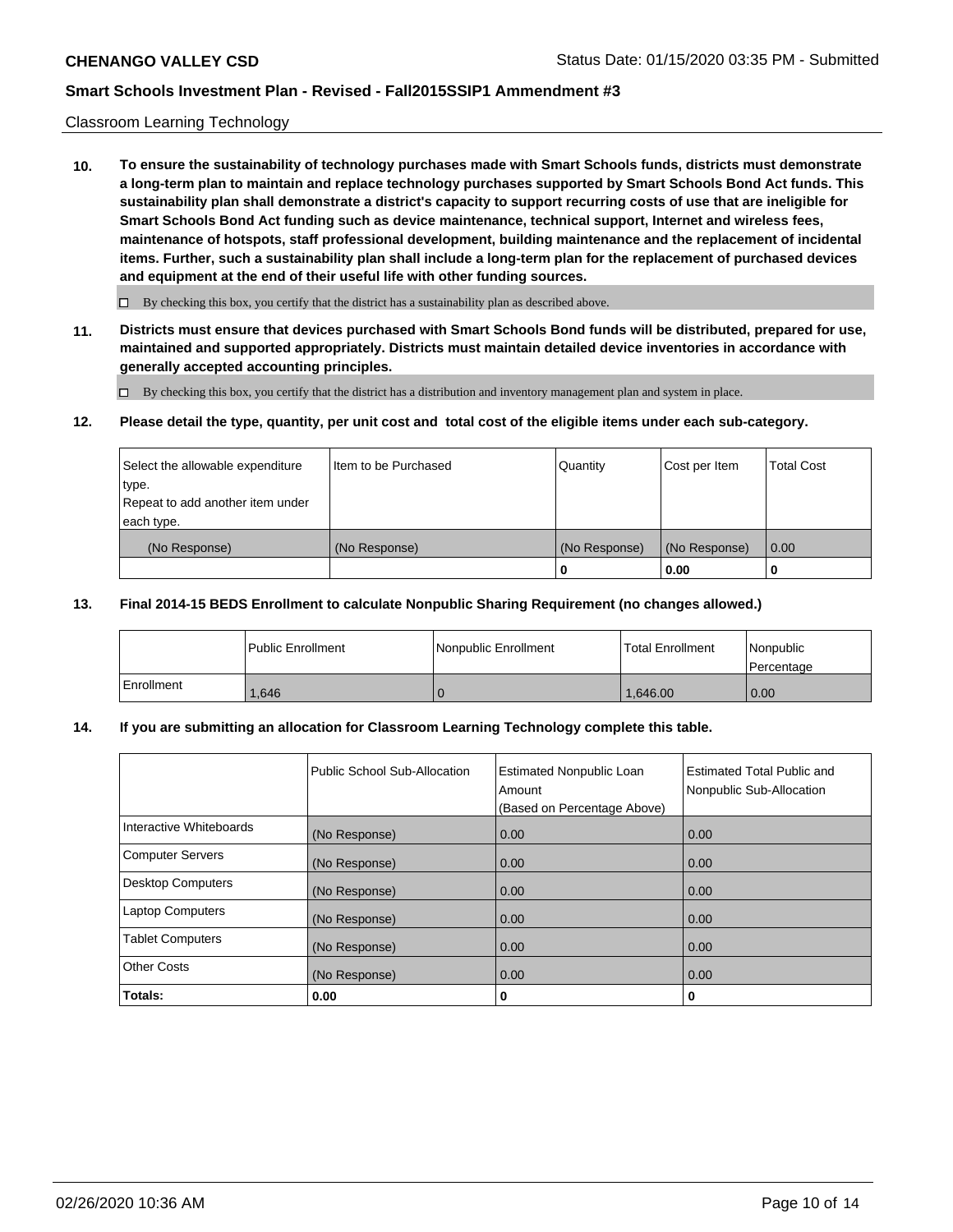## Classroom Learning Technology

**10. To ensure the sustainability of technology purchases made with Smart Schools funds, districts must demonstrate a long-term plan to maintain and replace technology purchases supported by Smart Schools Bond Act funds. This sustainability plan shall demonstrate a district's capacity to support recurring costs of use that are ineligible for Smart Schools Bond Act funding such as device maintenance, technical support, Internet and wireless fees, maintenance of hotspots, staff professional development, building maintenance and the replacement of incidental items. Further, such a sustainability plan shall include a long-term plan for the replacement of purchased devices and equipment at the end of their useful life with other funding sources.**

 $\Box$  By checking this box, you certify that the district has a sustainability plan as described above.

**11. Districts must ensure that devices purchased with Smart Schools Bond funds will be distributed, prepared for use, maintained and supported appropriately. Districts must maintain detailed device inventories in accordance with generally accepted accounting principles.**

By checking this box, you certify that the district has a distribution and inventory management plan and system in place.

#### **12. Please detail the type, quantity, per unit cost and total cost of the eligible items under each sub-category.**

| Select the allowable expenditure<br>type.<br>Repeat to add another item under | Item to be Purchased | Quantity      | Cost per Item | <b>Total Cost</b> |
|-------------------------------------------------------------------------------|----------------------|---------------|---------------|-------------------|
| each type.<br>(No Response)                                                   | (No Response)        | (No Response) | (No Response) | 0.00              |
|                                                                               |                      | 0             | 0.00          |                   |

## **13. Final 2014-15 BEDS Enrollment to calculate Nonpublic Sharing Requirement (no changes allowed.)**

|            | l Public Enrollment | <b>INonpublic Enrollment</b> | <b>Total Enrollment</b> | Nonpublic<br><b>Percentage</b> |
|------------|---------------------|------------------------------|-------------------------|--------------------------------|
| Enrollment | .646                |                              | 1.646.00                | 0.00                           |

## **14. If you are submitting an allocation for Classroom Learning Technology complete this table.**

|                         | Public School Sub-Allocation | <b>Estimated Nonpublic Loan</b><br>Amount<br>(Based on Percentage Above) | Estimated Total Public and<br>Nonpublic Sub-Allocation |
|-------------------------|------------------------------|--------------------------------------------------------------------------|--------------------------------------------------------|
| Interactive Whiteboards | (No Response)                | 0.00                                                                     | 0.00                                                   |
| Computer Servers        | (No Response)                | 0.00                                                                     | 0.00                                                   |
| Desktop Computers       | (No Response)                | 0.00                                                                     | 0.00                                                   |
| <b>Laptop Computers</b> | (No Response)                | 0.00                                                                     | 0.00                                                   |
| <b>Tablet Computers</b> | (No Response)                | 0.00                                                                     | 0.00                                                   |
| Other Costs             | (No Response)                | 0.00                                                                     | 0.00                                                   |
| Totals:                 | 0.00                         | 0                                                                        | 0                                                      |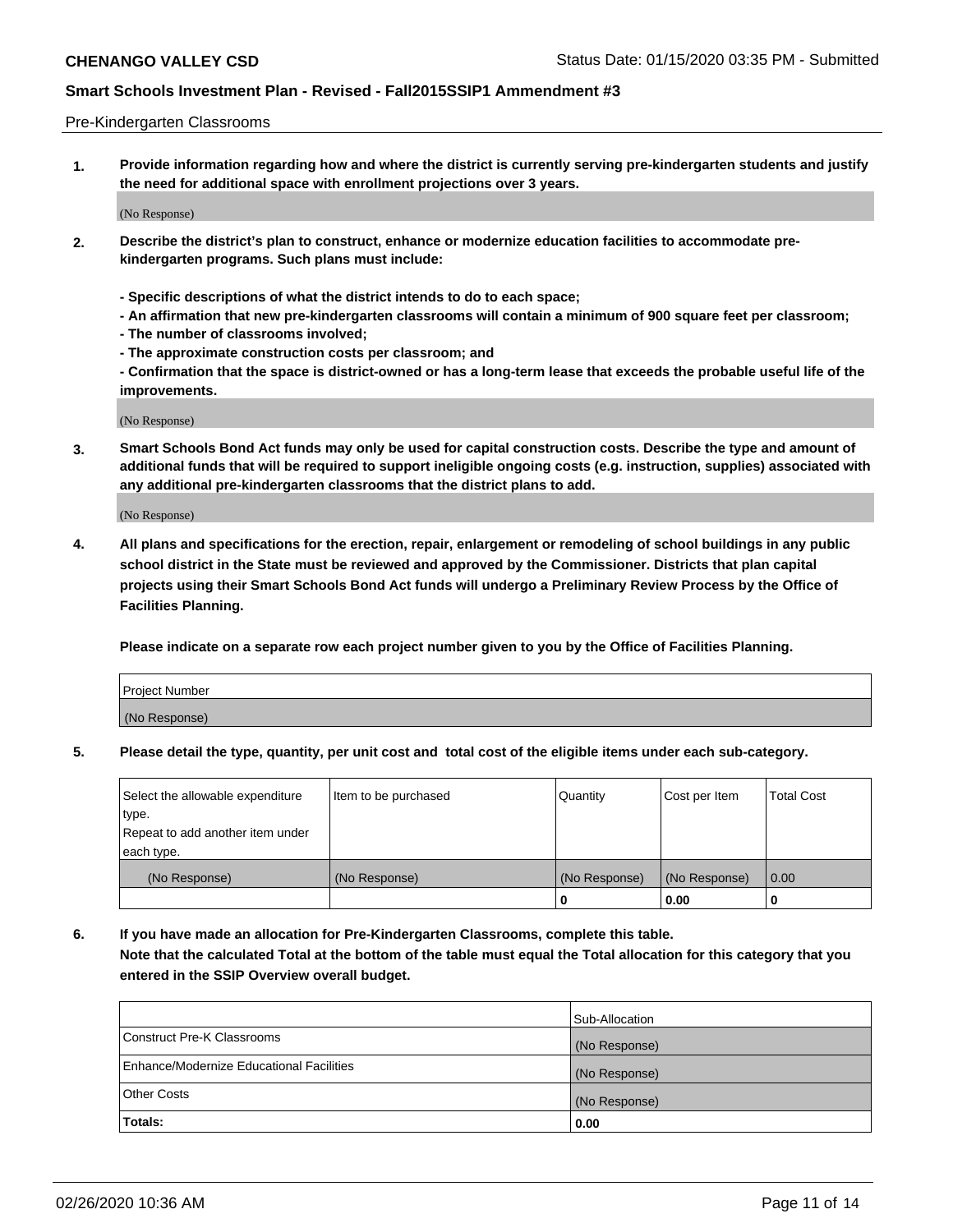## Pre-Kindergarten Classrooms

**1. Provide information regarding how and where the district is currently serving pre-kindergarten students and justify the need for additional space with enrollment projections over 3 years.**

(No Response)

- **2. Describe the district's plan to construct, enhance or modernize education facilities to accommodate prekindergarten programs. Such plans must include:**
	- **Specific descriptions of what the district intends to do to each space;**
	- **An affirmation that new pre-kindergarten classrooms will contain a minimum of 900 square feet per classroom;**
	- **The number of classrooms involved;**
	- **The approximate construction costs per classroom; and**
	- **Confirmation that the space is district-owned or has a long-term lease that exceeds the probable useful life of the improvements.**

(No Response)

**3. Smart Schools Bond Act funds may only be used for capital construction costs. Describe the type and amount of additional funds that will be required to support ineligible ongoing costs (e.g. instruction, supplies) associated with any additional pre-kindergarten classrooms that the district plans to add.**

(No Response)

**4. All plans and specifications for the erection, repair, enlargement or remodeling of school buildings in any public school district in the State must be reviewed and approved by the Commissioner. Districts that plan capital projects using their Smart Schools Bond Act funds will undergo a Preliminary Review Process by the Office of Facilities Planning.**

**Please indicate on a separate row each project number given to you by the Office of Facilities Planning.**

| Project Number |  |
|----------------|--|
| (No Response)  |  |
|                |  |

**5. Please detail the type, quantity, per unit cost and total cost of the eligible items under each sub-category.**

| Select the allowable expenditure | Item to be purchased | Quantity      | Cost per Item | <b>Total Cost</b> |
|----------------------------------|----------------------|---------------|---------------|-------------------|
| type.                            |                      |               |               |                   |
| Repeat to add another item under |                      |               |               |                   |
| each type.                       |                      |               |               |                   |
| (No Response)                    | (No Response)        | (No Response) | (No Response) | 0.00              |
|                                  |                      | υ             | 0.00          |                   |

**6. If you have made an allocation for Pre-Kindergarten Classrooms, complete this table. Note that the calculated Total at the bottom of the table must equal the Total allocation for this category that you entered in the SSIP Overview overall budget.**

|                                          | Sub-Allocation |
|------------------------------------------|----------------|
| Construct Pre-K Classrooms               | (No Response)  |
| Enhance/Modernize Educational Facilities | (No Response)  |
| <b>Other Costs</b>                       | (No Response)  |
| Totals:                                  | 0.00           |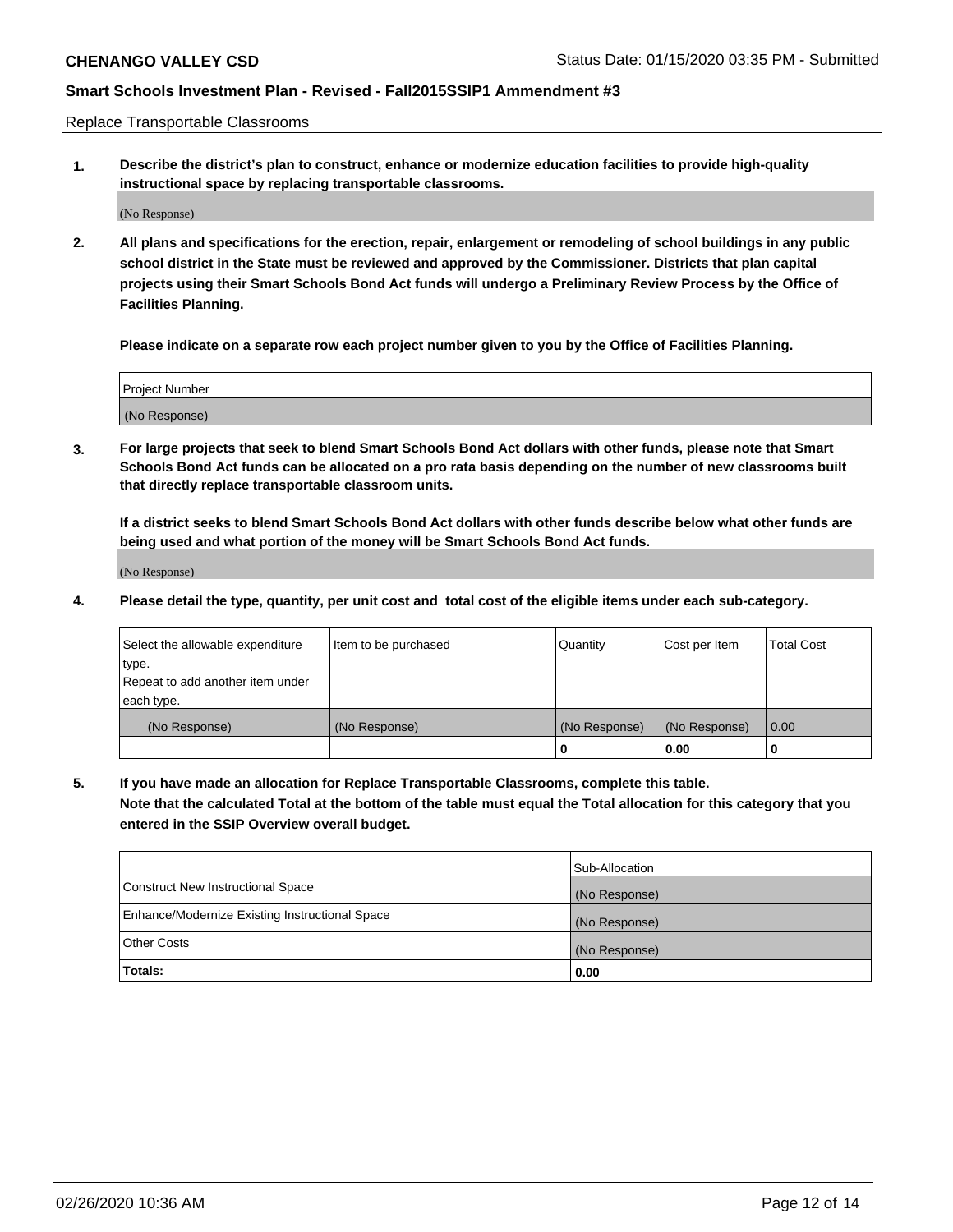Replace Transportable Classrooms

**1. Describe the district's plan to construct, enhance or modernize education facilities to provide high-quality instructional space by replacing transportable classrooms.**

(No Response)

**2. All plans and specifications for the erection, repair, enlargement or remodeling of school buildings in any public school district in the State must be reviewed and approved by the Commissioner. Districts that plan capital projects using their Smart Schools Bond Act funds will undergo a Preliminary Review Process by the Office of Facilities Planning.**

**Please indicate on a separate row each project number given to you by the Office of Facilities Planning.**

| Project Number |  |
|----------------|--|
|                |  |
| (No Response)  |  |

**3. For large projects that seek to blend Smart Schools Bond Act dollars with other funds, please note that Smart Schools Bond Act funds can be allocated on a pro rata basis depending on the number of new classrooms built that directly replace transportable classroom units.**

**If a district seeks to blend Smart Schools Bond Act dollars with other funds describe below what other funds are being used and what portion of the money will be Smart Schools Bond Act funds.**

(No Response)

**4. Please detail the type, quantity, per unit cost and total cost of the eligible items under each sub-category.**

| Select the allowable expenditure | Item to be purchased | Quantity      | Cost per Item | Total Cost |
|----------------------------------|----------------------|---------------|---------------|------------|
| ∣type.                           |                      |               |               |            |
| Repeat to add another item under |                      |               |               |            |
| each type.                       |                      |               |               |            |
| (No Response)                    | (No Response)        | (No Response) | (No Response) | 0.00       |
|                                  |                      | u             | 0.00          |            |

**5. If you have made an allocation for Replace Transportable Classrooms, complete this table. Note that the calculated Total at the bottom of the table must equal the Total allocation for this category that you entered in the SSIP Overview overall budget.**

|                                                | Sub-Allocation |
|------------------------------------------------|----------------|
| Construct New Instructional Space              | (No Response)  |
| Enhance/Modernize Existing Instructional Space | (No Response)  |
| Other Costs                                    | (No Response)  |
| Totals:                                        | 0.00           |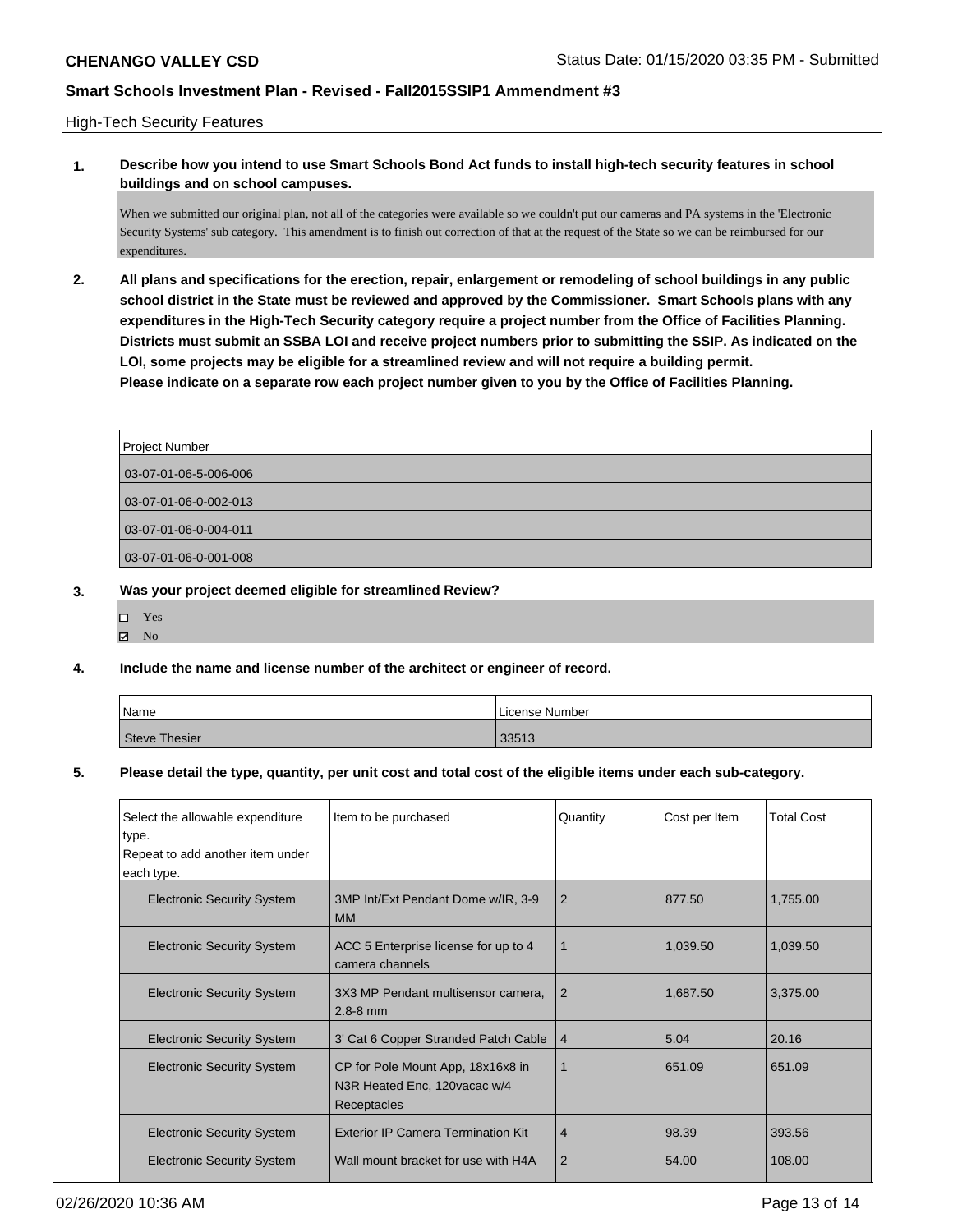# High-Tech Security Features

**1. Describe how you intend to use Smart Schools Bond Act funds to install high-tech security features in school buildings and on school campuses.**

When we submitted our original plan, not all of the categories were available so we couldn't put our cameras and PA systems in the 'Electronic Security Systems' sub category. This amendment is to finish out correction of that at the request of the State so we can be reimbursed for our expenditures.

**2. All plans and specifications for the erection, repair, enlargement or remodeling of school buildings in any public school district in the State must be reviewed and approved by the Commissioner. Smart Schools plans with any expenditures in the High-Tech Security category require a project number from the Office of Facilities Planning. Districts must submit an SSBA LOI and receive project numbers prior to submitting the SSIP. As indicated on the LOI, some projects may be eligible for a streamlined review and will not require a building permit. Please indicate on a separate row each project number given to you by the Office of Facilities Planning.**

| <b>Project Number</b>     |  |
|---------------------------|--|
| $03-07-01-06-5-006-006$   |  |
| $ 03-07-01-06-0-002-013 $ |  |
|                           |  |
| $ 03-07-01-06-0-004-011 $ |  |
| $03-07-01-06-0-001-008$   |  |

# **3. Was your project deemed eligible for streamlined Review?**

- Yes
- $\boxtimes$  No

## **4. Include the name and license number of the architect or engineer of record.**

| Name                 | License Number |
|----------------------|----------------|
| <b>Steve Thesier</b> | 33513          |

### **5. Please detail the type, quantity, per unit cost and total cost of the eligible items under each sub-category.**

| Select the allowable expenditure  | Item to be purchased                                                              | Quantity       | Cost per Item | <b>Total Cost</b> |
|-----------------------------------|-----------------------------------------------------------------------------------|----------------|---------------|-------------------|
| type.                             |                                                                                   |                |               |                   |
| Repeat to add another item under  |                                                                                   |                |               |                   |
| each type.                        |                                                                                   |                |               |                   |
| <b>Electronic Security System</b> | 3MP Int/Ext Pendant Dome w/IR, 3-9<br><b>MM</b>                                   | 2              | 877.50        | 1,755.00          |
| <b>Electronic Security System</b> | ACC 5 Enterprise license for up to 4<br>camera channels                           |                | 1,039.50      | 1,039.50          |
| <b>Electronic Security System</b> | 3X3 MP Pendant multisensor camera,<br>$2.8 - 8$ mm                                | $\overline{2}$ | 1,687.50      | 3,375.00          |
| <b>Electronic Security System</b> | 3' Cat 6 Copper Stranded Patch Cable                                              | 4              | 5.04          | 20.16             |
| <b>Electronic Security System</b> | CP for Pole Mount App, 18x16x8 in<br>N3R Heated Enc, 120 vacac w/4<br>Receptacles |                | 651.09        | 651.09            |
| <b>Electronic Security System</b> | <b>Exterior IP Camera Termination Kit</b>                                         | $\overline{4}$ | 98.39         | 393.56            |
| <b>Electronic Security System</b> | Wall mount bracket for use with H4A                                               | $\overline{2}$ | 54.00         | 108.00            |